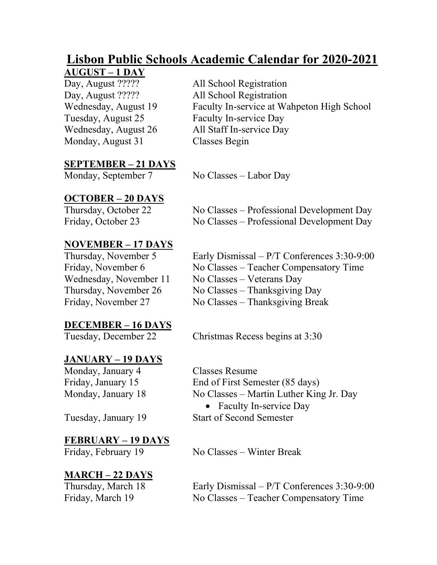# **Lisbon Public Schools Academic Calendar for 2020-2021**

**AUGUST – 1 DAY**<br>Day, August ????? Day, August ????? All School Registration Tuesday, August 25 Faculty In-service Day Wednesday, August 26 All Staff In-service Day Monday, August 31 Classes Begin

All School Registration Wednesday, August 19 Faculty In-service at Wahpeton High School

## **SEPTEMBER – 21 DAYS**

No Classes – Labor Day

#### **OCTOBER – 20 DAYS**

Thursday, October 22 No Classes – Professional Development Day Friday, October 23 No Classes – Professional Development Day

#### **NOVEMBER – 17 DAYS**

#### **DECEMBER – 16 DAYS**

#### **JANUARY – 19 DAYS**

Monday, January 4 Classes Resume

#### **FEBRUARY – 19 DAYS**

### **MARCH – 22 DAYS**

Thursday, November 5 Early Dismissal – P/T Conferences 3:30-9:00 Friday, November 6 No Classes – Teacher Compensatory Time Wednesday, November 11 No Classes – Veterans Day Thursday, November 26 No Classes – Thanksgiving Day Friday, November 27 No Classes – Thanksgiving Break

Tuesday, December 22 Christmas Recess begins at 3:30

Friday, January 15 End of First Semester (85 days) Monday, January 18 No Classes – Martin Luther King Jr. Day

• Faculty In-service Day Tuesday, January 19 Start of Second Semester

Friday, February 19 No Classes – Winter Break

Thursday, March 18 Early Dismissal – P/T Conferences 3:30-9:00 Friday, March 19 No Classes – Teacher Compensatory Time